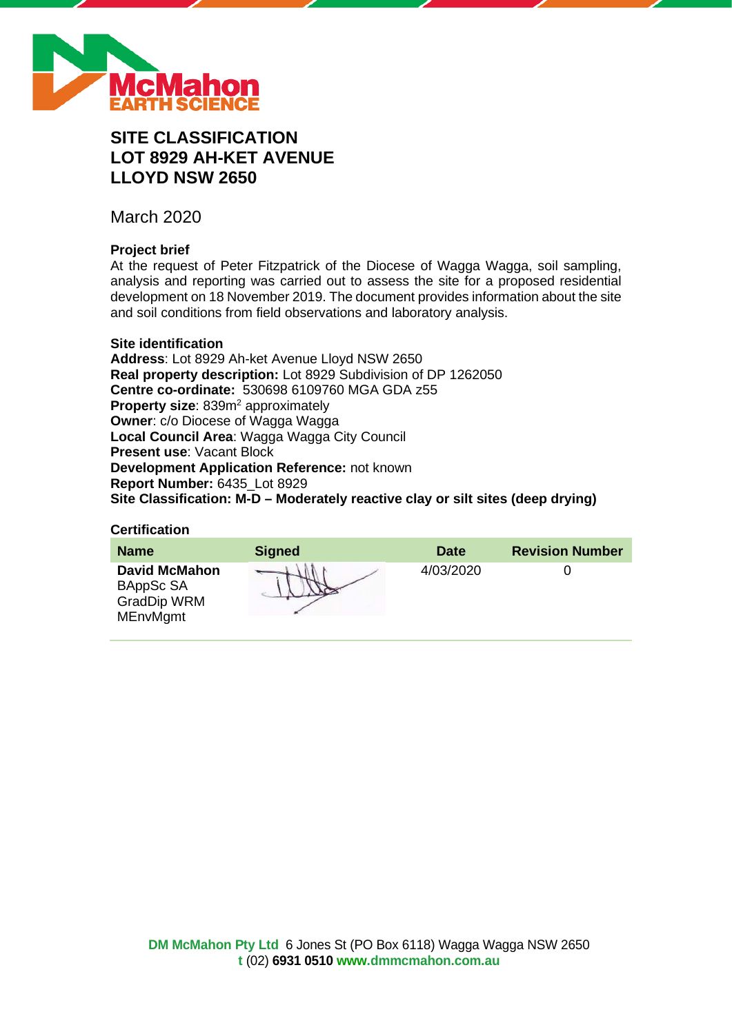

# **SITE CLASSIFICATION LOT 8929 AH-KET AVENUE LLOYD NSW 2650**

March 2020

# **Project brief**

At the request of Peter Fitzpatrick of the Diocese of Wagga Wagga, soil sampling, analysis and reporting was carried out to assess the site for a proposed residential development on 18 November 2019. The document provides information about the site and soil conditions from field observations and laboratory analysis.

### **Site identification**

**Address**: Lot 8929 Ah-ket Avenue Lloyd NSW 2650 **Real property description:** Lot 8929 Subdivision of DP 1262050 **Centre co-ordinate:** 530698 6109760 MGA GDA z55 **Property size:** 839m<sup>2</sup> approximately **Owner**: c/o Diocese of Wagga Wagga **Local Council Area**: Wagga Wagga City Council **Present use**: Vacant Block **Development Application Reference:** not known **Report Number:** 6435\_Lot 8929 **Site Classification: M-D – Moderately reactive clay or silt sites (deep drying)**

#### **Certification**

| <b>Name</b>                                                                | <b>Signed</b> | <b>Date</b> | <b>Revision Number</b> |
|----------------------------------------------------------------------------|---------------|-------------|------------------------|
| <b>David McMahon</b><br>BAppSc SA<br><b>GradDip WRM</b><br><b>MEnvMgmt</b> |               | 4/03/2020   |                        |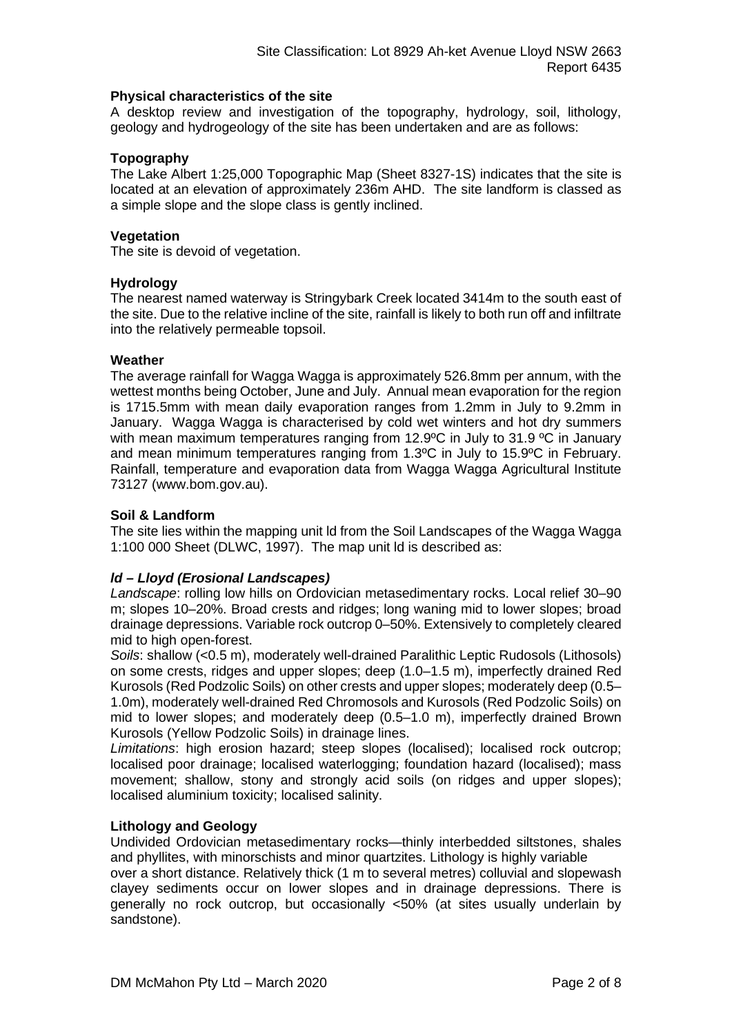### **Physical characteristics of the site**

A desktop review and investigation of the topography, hydrology, soil, lithology, geology and hydrogeology of the site has been undertaken and are as follows:

# **Topography**

The Lake Albert 1:25,000 Topographic Map (Sheet 8327-1S) indicates that the site is located at an elevation of approximately 236m AHD. The site landform is classed as a simple slope and the slope class is gently inclined.

### **Vegetation**

The site is devoid of vegetation.

### **Hydrology**

The nearest named waterway is Stringybark Creek located 3414m to the south east of the site. Due to the relative incline of the site, rainfall is likely to both run off and infiltrate into the relatively permeable topsoil.

### **Weather**

The average rainfall for Wagga Wagga is approximately 526.8mm per annum, with the wettest months being October, June and July. Annual mean evaporation for the region is 1715.5mm with mean daily evaporation ranges from 1.2mm in July to 9.2mm in January. Wagga Wagga is characterised by cold wet winters and hot dry summers with mean maximum temperatures ranging from 12.9°C in July to 31.9 °C in January and mean minimum temperatures ranging from 1.3ºC in July to 15.9ºC in February. Rainfall, temperature and evaporation data from Wagga Wagga Agricultural Institute 73127 (www.bom.gov.au).

### **Soil & Landform**

The site lies within the mapping unit ld from the Soil Landscapes of the Wagga Wagga 1:100 000 Sheet (DLWC, 1997). The map unit ld is described as:

# *ld – Lloyd (Erosional Landscapes)*

*Landscape*: rolling low hills on Ordovician metasedimentary rocks. Local relief 30–90 m; slopes 10–20%. Broad crests and ridges; long waning mid to lower slopes; broad drainage depressions. Variable rock outcrop 0–50%. Extensively to completely cleared mid to high open-forest.

*Soils*: shallow (<0.5 m), moderately well-drained Paralithic Leptic Rudosols (Lithosols) on some crests, ridges and upper slopes; deep (1.0–1.5 m), imperfectly drained Red Kurosols (Red Podzolic Soils) on other crests and upper slopes; moderately deep (0.5– 1.0m), moderately well-drained Red Chromosols and Kurosols (Red Podzolic Soils) on mid to lower slopes; and moderately deep (0.5–1.0 m), imperfectly drained Brown Kurosols (Yellow Podzolic Soils) in drainage lines.

*Limitations*: high erosion hazard; steep slopes (localised); localised rock outcrop; localised poor drainage; localised waterlogging; foundation hazard (localised); mass movement; shallow, stony and strongly acid soils (on ridges and upper slopes); localised aluminium toxicity; localised salinity.

### **Lithology and Geology**

Undivided Ordovician metasedimentary rocks—thinly interbedded siltstones, shales and phyllites, with minorschists and minor quartzites. Lithology is highly variable

over a short distance. Relatively thick (1 m to several metres) colluvial and slopewash clayey sediments occur on lower slopes and in drainage depressions. There is generally no rock outcrop, but occasionally <50% (at sites usually underlain by sandstone).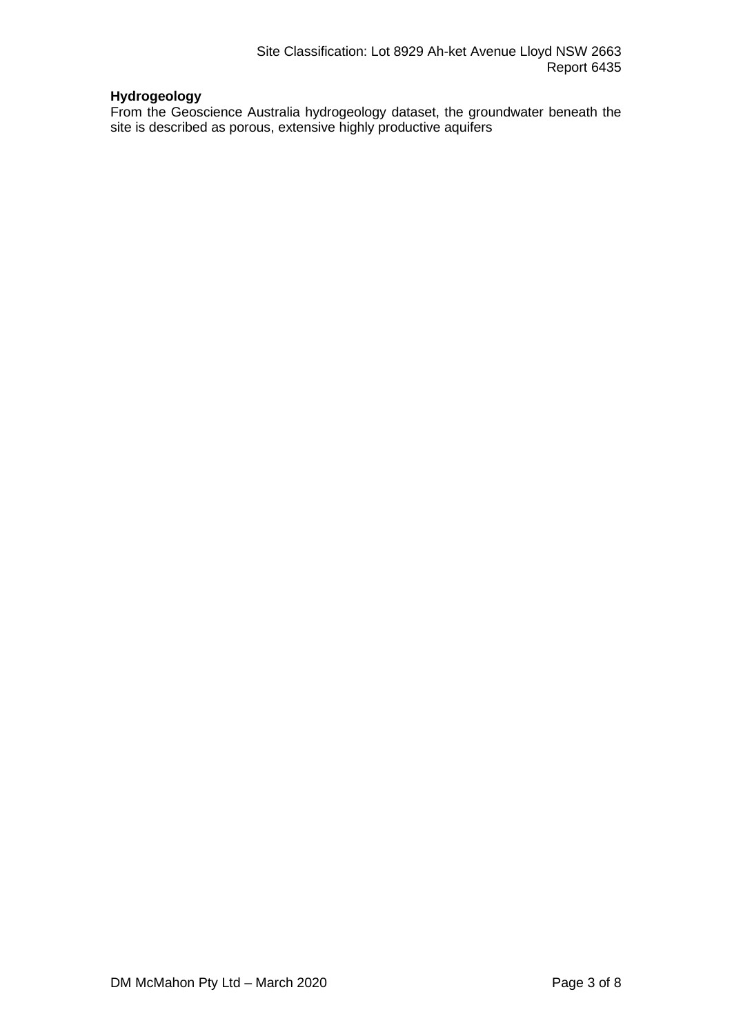# **Hydrogeology**

From the Geoscience Australia hydrogeology dataset, the groundwater beneath the site is described as porous, extensive highly productive aquifers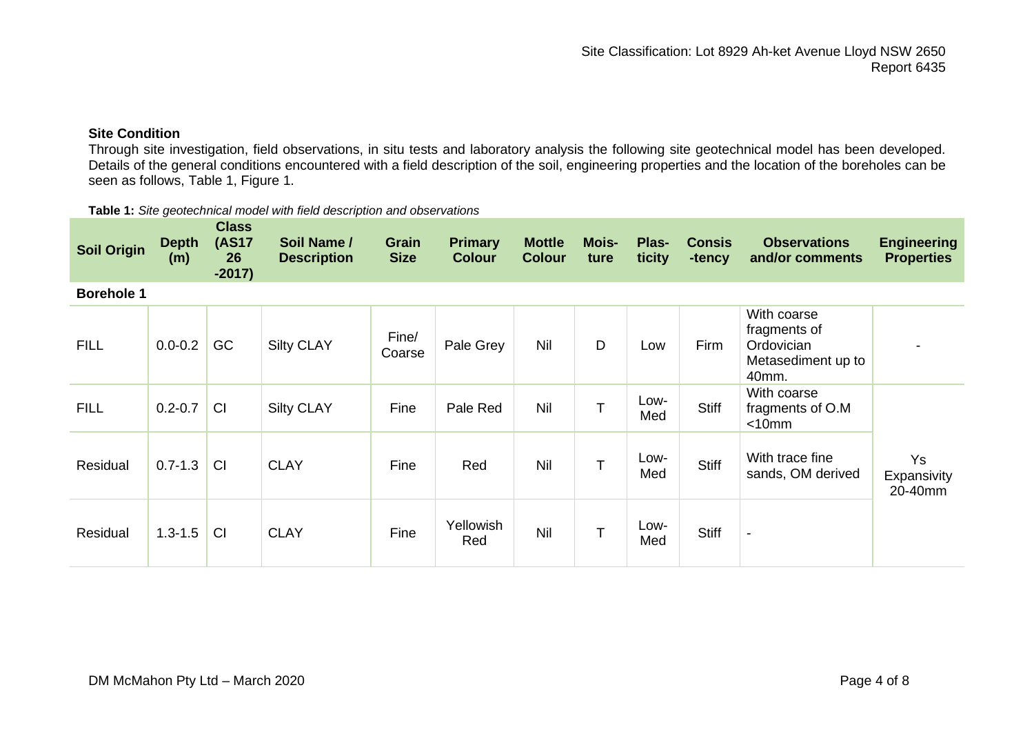# **Site Condition**

Through site investigation, field observations, in situ tests and laboratory analysis the following site geotechnical model has been developed. Details of the general conditions encountered with a field description of the soil, engineering properties and the location of the boreholes can be seen as follows, Table 1, Figure 1.

| <b>Soil Origin</b> | <b>Depth</b><br>(m) | <b>Class</b><br><b>(AS17</b><br>26<br>$-2017)$ | Soil Name /<br><b>Description</b> | Grain<br><b>Size</b> | <b>Primary</b><br><b>Colour</b> | <b>Mottle</b><br><b>Colour</b> | <b>Mois-</b><br>ture | Plas-<br>ticity | <b>Consis</b><br>-tency | <b>Observations</b><br>and/or comments                                                | <b>Engineering</b><br><b>Properties</b> |
|--------------------|---------------------|------------------------------------------------|-----------------------------------|----------------------|---------------------------------|--------------------------------|----------------------|-----------------|-------------------------|---------------------------------------------------------------------------------------|-----------------------------------------|
| <b>Borehole 1</b>  |                     |                                                |                                   |                      |                                 |                                |                      |                 |                         |                                                                                       |                                         |
| <b>FILL</b>        | $0.0 - 0.2$         | GC                                             | <b>Silty CLAY</b>                 | Fine/<br>Coarse      | Pale Grey                       | Nil                            | D                    | Low             | <b>Firm</b>             | With coarse<br>fragments of<br>Ordovician<br>Metasediment up to<br>40 <sub>mm</sub> . |                                         |
| <b>FILL</b>        | $0.2 - 0.7$         | CI                                             | <b>Silty CLAY</b>                 | Fine                 | Pale Red                        | Nil                            | T                    | Low-<br>Med     | <b>Stiff</b>            | With coarse<br>fragments of O.M<br>$< 10$ mm                                          |                                         |
| Residual           | $0.7 - 1.3$         | CI                                             | <b>CLAY</b>                       | Fine                 | Red                             | Nil                            | T                    | Low-<br>Med     | <b>Stiff</b>            | With trace fine<br>sands, OM derived                                                  | <b>Ys</b><br>Expansivity<br>20-40mm     |
| Residual           | $1.3 - 1.5$         | <b>CI</b>                                      | <b>CLAY</b>                       | Fine                 | Yellowish<br>Red                | Nil                            | T                    | Low-<br>Med     | <b>Stiff</b>            | $\blacksquare$                                                                        |                                         |

**Table 1:** *Site geotechnical model with field description and observations*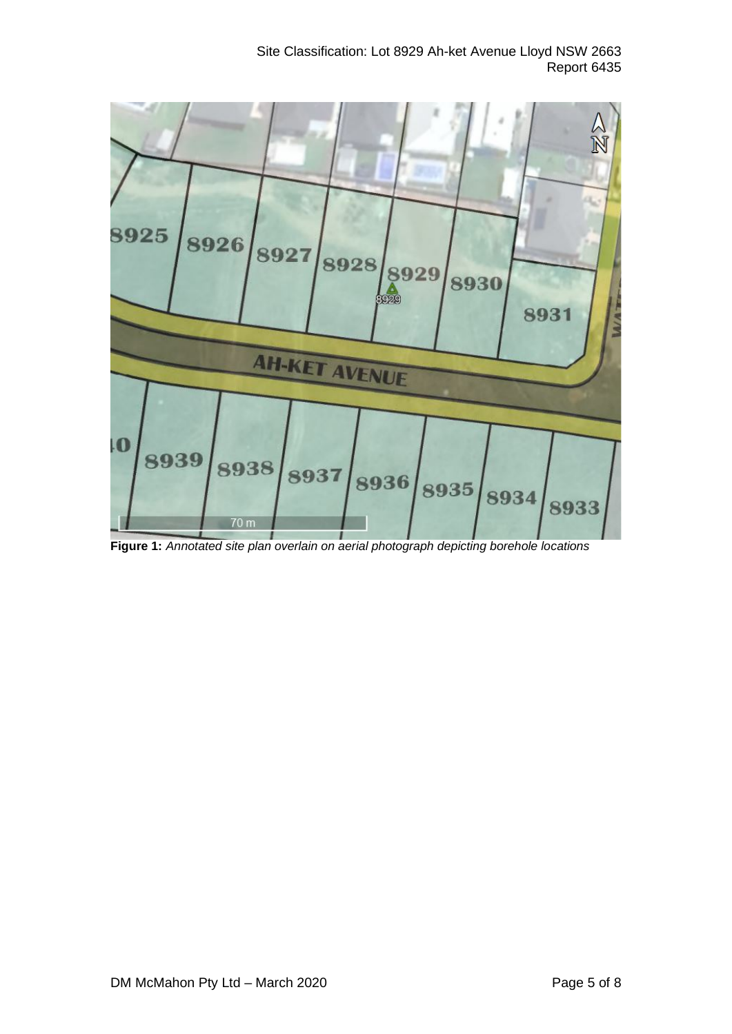# Site Classification: Lot 8929 Ah-ket Avenue Lloyd NSW 2663 Report 6435



**Figure 1:** *Annotated site plan overlain on aerial photograph depicting borehole locations*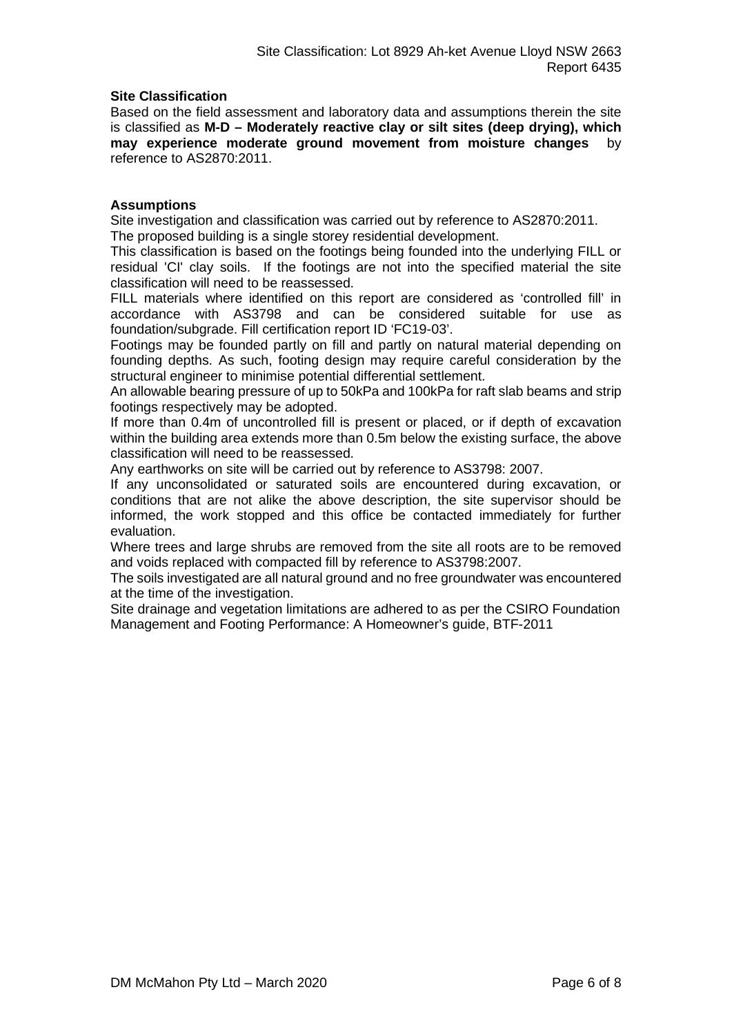### **Site Classification**

Based on the field assessment and laboratory data and assumptions therein the site is classified as **M-D – Moderately reactive clay or silt sites (deep drying), which may experience moderate ground movement from moisture changes** by reference to AS2870:2011.

### **Assumptions**

Site investigation and classification was carried out by reference to AS2870:2011. The proposed building is a single storey residential development.

This classification is based on the footings being founded into the underlying FILL or residual 'CI' clay soils. If the footings are not into the specified material the site classification will need to be reassessed.

FILL materials where identified on this report are considered as 'controlled fill' in accordance with AS3798 and can be considered suitable for use as foundation/subgrade. Fill certification report ID 'FC19-03'.

Footings may be founded partly on fill and partly on natural material depending on founding depths. As such, footing design may require careful consideration by the structural engineer to minimise potential differential settlement.

An allowable bearing pressure of up to 50kPa and 100kPa for raft slab beams and strip footings respectively may be adopted.

If more than 0.4m of uncontrolled fill is present or placed, or if depth of excavation within the building area extends more than 0.5m below the existing surface, the above classification will need to be reassessed.

Any earthworks on site will be carried out by reference to AS3798: 2007.

If any unconsolidated or saturated soils are encountered during excavation, or conditions that are not alike the above description, the site supervisor should be informed, the work stopped and this office be contacted immediately for further evaluation.

Where trees and large shrubs are removed from the site all roots are to be removed and voids replaced with compacted fill by reference to AS3798:2007.

The soils investigated are all natural ground and no free groundwater was encountered at the time of the investigation.

Site drainage and vegetation limitations are adhered to as per the CSIRO Foundation Management and Footing Performance: A Homeowner's guide, BTF-2011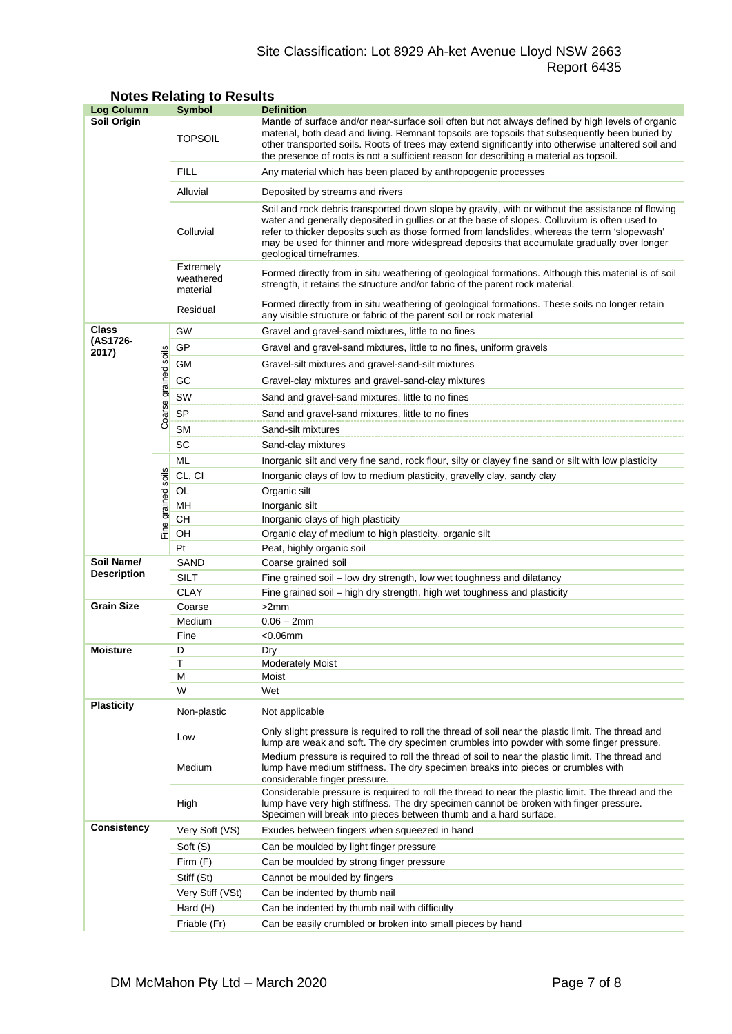# Site Classification: Lot 8929 Ah-ket Avenue Lloyd NSW 2663 Report 6435

| <b>Log Column</b>                |                      | <b>Symbol</b>                      | <b>Definition</b>                                                                                                                                                                                                                                                                                                                                                                                                          |  |  |  |
|----------------------------------|----------------------|------------------------------------|----------------------------------------------------------------------------------------------------------------------------------------------------------------------------------------------------------------------------------------------------------------------------------------------------------------------------------------------------------------------------------------------------------------------------|--|--|--|
| Soil Origin                      |                      | <b>TOPSOIL</b>                     | Mantle of surface and/or near-surface soil often but not always defined by high levels of organic<br>material, both dead and living. Remnant topsoils are topsoils that subsequently been buried by<br>other transported soils. Roots of trees may extend significantly into otherwise unaltered soil and<br>the presence of roots is not a sufficient reason for describing a material as topsoil.                        |  |  |  |
|                                  |                      | <b>FILL</b>                        | Any material which has been placed by anthropogenic processes                                                                                                                                                                                                                                                                                                                                                              |  |  |  |
|                                  |                      | Alluvial                           | Deposited by streams and rivers                                                                                                                                                                                                                                                                                                                                                                                            |  |  |  |
|                                  |                      | Colluvial                          | Soil and rock debris transported down slope by gravity, with or without the assistance of flowing<br>water and generally deposited in gullies or at the base of slopes. Colluvium is often used to<br>refer to thicker deposits such as those formed from landslides, whereas the term 'slopewash'<br>may be used for thinner and more widespread deposits that accumulate gradually over longer<br>geological timeframes. |  |  |  |
|                                  |                      | Extremely<br>weathered<br>material | Formed directly from in situ weathering of geological formations. Although this material is of soil<br>strength, it retains the structure and/or fabric of the parent rock material.                                                                                                                                                                                                                                       |  |  |  |
|                                  |                      | Residual                           | Formed directly from in situ weathering of geological formations. These soils no longer retain<br>any visible structure or fabric of the parent soil or rock material                                                                                                                                                                                                                                                      |  |  |  |
| <b>Class</b>                     |                      | GW                                 | Gravel and gravel-sand mixtures, little to no fines                                                                                                                                                                                                                                                                                                                                                                        |  |  |  |
| (AS1726-<br>2017)                |                      | GP                                 | Gravel and gravel-sand mixtures, little to no fines, uniform gravels                                                                                                                                                                                                                                                                                                                                                       |  |  |  |
|                                  |                      | GМ                                 | Gravel-silt mixtures and gravel-sand-silt mixtures                                                                                                                                                                                                                                                                                                                                                                         |  |  |  |
|                                  |                      | GC                                 | Gravel-clay mixtures and gravel-sand-clay mixtures                                                                                                                                                                                                                                                                                                                                                                         |  |  |  |
|                                  |                      | SW                                 | Sand and gravel-sand mixtures, little to no fines                                                                                                                                                                                                                                                                                                                                                                          |  |  |  |
|                                  | Coarse grained soils | <b>SP</b>                          | Sand and gravel-sand mixtures, little to no fines                                                                                                                                                                                                                                                                                                                                                                          |  |  |  |
|                                  |                      | <b>SM</b>                          | Sand-silt mixtures                                                                                                                                                                                                                                                                                                                                                                                                         |  |  |  |
|                                  |                      | SC                                 | Sand-clay mixtures                                                                                                                                                                                                                                                                                                                                                                                                         |  |  |  |
|                                  |                      | ML                                 | Inorganic silt and very fine sand, rock flour, silty or clayey fine sand or silt with low plasticity                                                                                                                                                                                                                                                                                                                       |  |  |  |
|                                  |                      | CL, CI                             | Inorganic clays of low to medium plasticity, gravelly clay, sandy clay                                                                                                                                                                                                                                                                                                                                                     |  |  |  |
|                                  | grained soils        | OL                                 | Organic silt                                                                                                                                                                                                                                                                                                                                                                                                               |  |  |  |
|                                  |                      | MН                                 | Inorganic silt                                                                                                                                                                                                                                                                                                                                                                                                             |  |  |  |
| Fine                             |                      | CН                                 | Inorganic clays of high plasticity                                                                                                                                                                                                                                                                                                                                                                                         |  |  |  |
|                                  |                      | OH                                 | Organic clay of medium to high plasticity, organic silt                                                                                                                                                                                                                                                                                                                                                                    |  |  |  |
|                                  |                      | Pt                                 | Peat, highly organic soil                                                                                                                                                                                                                                                                                                                                                                                                  |  |  |  |
| Soil Name/<br><b>Description</b> |                      | SAND                               | Coarse grained soil                                                                                                                                                                                                                                                                                                                                                                                                        |  |  |  |
|                                  |                      | <b>SILT</b>                        | Fine grained soil - low dry strength, low wet toughness and dilatancy                                                                                                                                                                                                                                                                                                                                                      |  |  |  |
| <b>Grain Size</b>                |                      | <b>CLAY</b><br>Coarse              | Fine grained soil – high dry strength, high wet toughness and plasticity<br>>2mm                                                                                                                                                                                                                                                                                                                                           |  |  |  |
|                                  |                      | Medium                             | $0.06 - 2mm$                                                                                                                                                                                                                                                                                                                                                                                                               |  |  |  |
|                                  |                      | Fine                               | $<$ 0.06 $mm$                                                                                                                                                                                                                                                                                                                                                                                                              |  |  |  |
| <b>Moisture</b>                  |                      | D                                  | Dry                                                                                                                                                                                                                                                                                                                                                                                                                        |  |  |  |
|                                  |                      | Т                                  | <b>Moderately Moist</b>                                                                                                                                                                                                                                                                                                                                                                                                    |  |  |  |
|                                  |                      | М                                  | Moist                                                                                                                                                                                                                                                                                                                                                                                                                      |  |  |  |
|                                  |                      | W                                  | Wet                                                                                                                                                                                                                                                                                                                                                                                                                        |  |  |  |
| <b>Plasticity</b>                |                      | Non-plastic                        | Not applicable                                                                                                                                                                                                                                                                                                                                                                                                             |  |  |  |
|                                  |                      | Low                                | Only slight pressure is required to roll the thread of soil near the plastic limit. The thread and<br>lump are weak and soft. The dry specimen crumbles into powder with some finger pressure.                                                                                                                                                                                                                             |  |  |  |
|                                  |                      | Medium                             | Medium pressure is required to roll the thread of soil to near the plastic limit. The thread and<br>lump have medium stiffness. The dry specimen breaks into pieces or crumbles with<br>considerable finger pressure.                                                                                                                                                                                                      |  |  |  |
|                                  |                      | High                               | Considerable pressure is required to roll the thread to near the plastic limit. The thread and the<br>lump have very high stiffness. The dry specimen cannot be broken with finger pressure.<br>Specimen will break into pieces between thumb and a hard surface.                                                                                                                                                          |  |  |  |
| <b>Consistency</b>               |                      | Very Soft (VS)                     | Exudes between fingers when squeezed in hand                                                                                                                                                                                                                                                                                                                                                                               |  |  |  |
|                                  |                      | Soft (S)                           | Can be moulded by light finger pressure                                                                                                                                                                                                                                                                                                                                                                                    |  |  |  |
|                                  |                      | Firm (F)                           | Can be moulded by strong finger pressure                                                                                                                                                                                                                                                                                                                                                                                   |  |  |  |
|                                  |                      | Stiff (St)                         | Cannot be moulded by fingers                                                                                                                                                                                                                                                                                                                                                                                               |  |  |  |
|                                  |                      | Very Stiff (VSt)                   | Can be indented by thumb nail                                                                                                                                                                                                                                                                                                                                                                                              |  |  |  |
|                                  |                      | Hard (H)                           | Can be indented by thumb nail with difficulty                                                                                                                                                                                                                                                                                                                                                                              |  |  |  |
|                                  |                      | Friable (Fr)                       | Can be easily crumbled or broken into small pieces by hand                                                                                                                                                                                                                                                                                                                                                                 |  |  |  |

# **Notes Relating to Results**